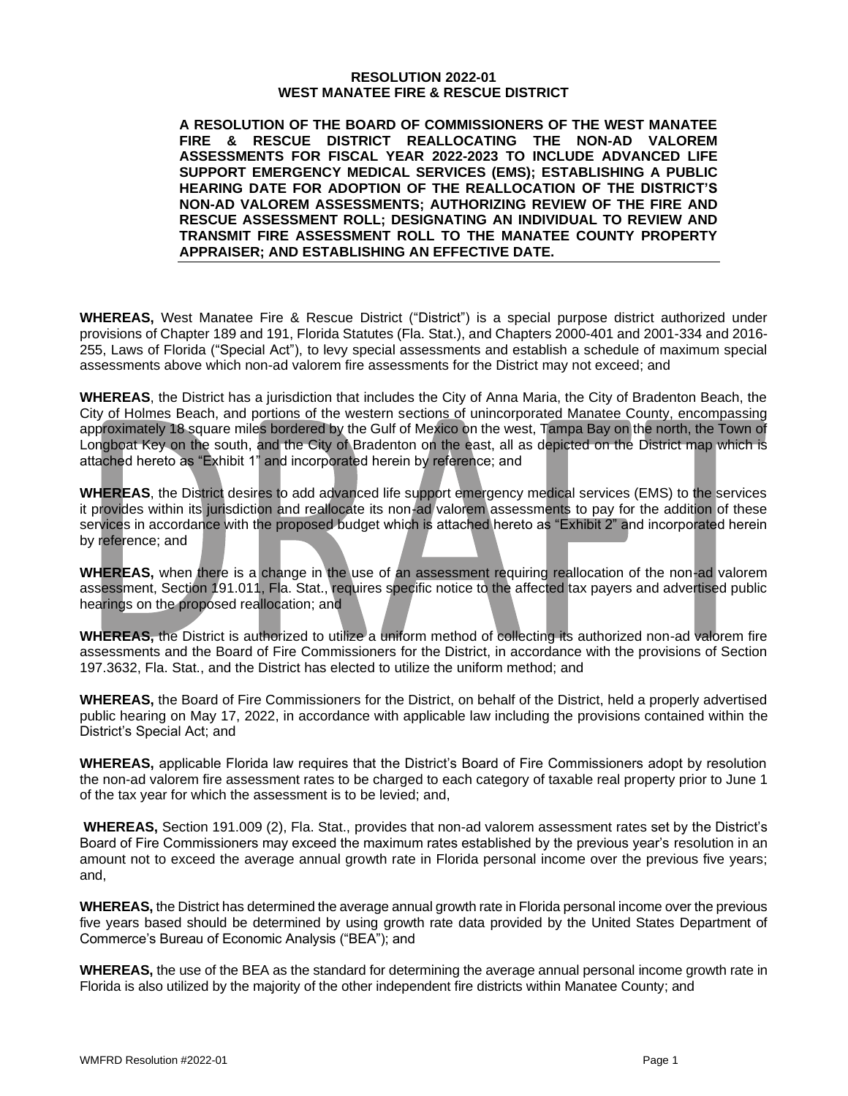#### **RESOLUTION 2022-01 WEST MANATEE FIRE & RESCUE DISTRICT**

**A RESOLUTION OF THE BOARD OF COMMISSIONERS OF THE WEST MANATEE FIRE & RESCUE DISTRICT REALLOCATING THE NON-AD VALOREM ASSESSMENTS FOR FISCAL YEAR 2022-2023 TO INCLUDE ADVANCED LIFE SUPPORT EMERGENCY MEDICAL SERVICES (EMS); ESTABLISHING A PUBLIC HEARING DATE FOR ADOPTION OF THE REALLOCATION OF THE DISTRICT'S NON-AD VALOREM ASSESSMENTS; AUTHORIZING REVIEW OF THE FIRE AND RESCUE ASSESSMENT ROLL; DESIGNATING AN INDIVIDUAL TO REVIEW AND TRANSMIT FIRE ASSESSMENT ROLL TO THE MANATEE COUNTY PROPERTY APPRAISER; AND ESTABLISHING AN EFFECTIVE DATE.**

**WHEREAS,** West Manatee Fire & Rescue District ("District") is a special purpose district authorized under provisions of Chapter 189 and 191, Florida Statutes (Fla. Stat.), and Chapters 2000-401 and 2001-334 and 2016- 255, Laws of Florida ("Special Act"), to levy special assessments and establish a schedule of maximum special assessments above which non-ad valorem fire assessments for the District may not exceed; and

**WHEREAS**, the District has a jurisdiction that includes the City of Anna Maria, the City of Bradenton Beach, the City of Holmes Beach, and portions of the western sections of unincorporated Manatee County, encompassing approximately 18 square miles bordered by the Gulf of Mexico on the west, Tampa Bay on the north, the Town of Longboat Key on the south, and the City of Bradenton on the east, all as depicted on the District map which is attached hereto as "Exhibit 1" and incorporated herein by reference; and

**WHEREAS**, the District desires to add advanced life support emergency medical services (EMS) to the services it provides within its jurisdiction and reallocate its non-ad valorem assessments to pay for the addition of these services in accordance with the proposed budget which is attached hereto as "Exhibit 2" and incorporated herein by reference; and

**WHEREAS,** when there is a change in the use of an assessment requiring reallocation of the non-ad valorem assessment, Section 191.011, Fla. Stat., requires specific notice to the affected tax payers and advertised public hearings on the proposed reallocation; and

**WHEREAS,** the District is authorized to utilize a uniform method of collecting its authorized non-ad valorem fire assessments and the Board of Fire Commissioners for the District, in accordance with the provisions of Section 197.3632, Fla. Stat., and the District has elected to utilize the uniform method; and

**WHEREAS,** the Board of Fire Commissioners for the District, on behalf of the District, held a properly advertised public hearing on May 17, 2022, in accordance with applicable law including the provisions contained within the District's Special Act; and

**WHEREAS,** applicable Florida law requires that the District's Board of Fire Commissioners adopt by resolution the non-ad valorem fire assessment rates to be charged to each category of taxable real property prior to June 1 of the tax year for which the assessment is to be levied; and,

**WHEREAS,** Section 191.009 (2), Fla. Stat., provides that non-ad valorem assessment rates set by the District's Board of Fire Commissioners may exceed the maximum rates established by the previous year's resolution in an amount not to exceed the average annual growth rate in Florida personal income over the previous five years; and,

**WHEREAS,** the District has determined the average annual growth rate in Florida personal income over the previous five years based should be determined by using growth rate data provided by the United States Department of Commerce's Bureau of Economic Analysis ("BEA"); and

**WHEREAS,** the use of the BEA as the standard for determining the average annual personal income growth rate in Florida is also utilized by the majority of the other independent fire districts within Manatee County; and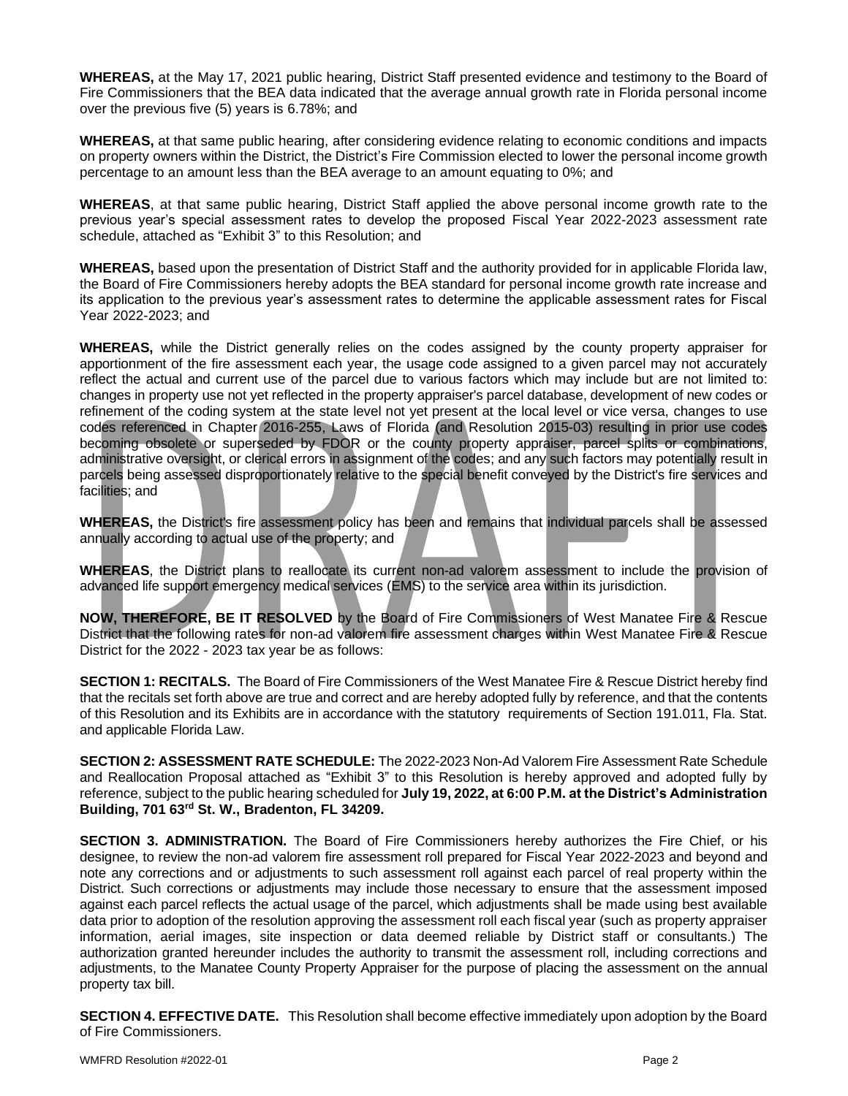**WHEREAS,** at the May 17, 2021 public hearing, District Staff presented evidence and testimony to the Board of Fire Commissioners that the BEA data indicated that the average annual growth rate in Florida personal income over the previous five (5) years is 6.78%; and

**WHEREAS,** at that same public hearing, after considering evidence relating to economic conditions and impacts on property owners within the District, the District's Fire Commission elected to lower the personal income growth percentage to an amount less than the BEA average to an amount equating to 0%; and

**WHEREAS**, at that same public hearing, District Staff applied the above personal income growth rate to the previous year's special assessment rates to develop the proposed Fiscal Year 2022-2023 assessment rate schedule, attached as "Exhibit 3" to this Resolution; and

**WHEREAS,** based upon the presentation of District Staff and the authority provided for in applicable Florida law, the Board of Fire Commissioners hereby adopts the BEA standard for personal income growth rate increase and its application to the previous year's assessment rates to determine the applicable assessment rates for Fiscal Year 2022-2023; and

**WHEREAS,** while the District generally relies on the codes assigned by the county property appraiser for apportionment of the fire assessment each year, the usage code assigned to a given parcel may not accurately reflect the actual and current use of the parcel due to various factors which may include but are not limited to: changes in property use not yet reflected in the property appraiser's parcel database, development of new codes or refinement of the coding system at the state level not yet present at the local level or vice versa, changes to use codes referenced in Chapter 2016-255, Laws of Florida (and Resolution 2015-03) resulting in prior use codes becoming obsolete or superseded by FDOR or the county property appraiser, parcel splits or combinations, administrative oversight, or clerical errors in assignment of the codes; and any such factors may potentially result in parcels being assessed disproportionately relative to the special benefit conveyed by the District's fire services and facilities; and

**WHEREAS,** the District's fire assessment policy has been and remains that individual parcels shall be assessed annually according to actual use of the property; and

**WHEREAS**, the District plans to reallocate its current non-ad valorem assessment to include the provision of advanced life support emergency medical services (EMS) to the service area within its jurisdiction.

**NOW, THEREFORE, BE IT RESOLVED** by the Board of Fire Commissioners of West Manatee Fire & Rescue District that the following rates for non-ad valorem fire assessment charges within West Manatee Fire & Rescue District for the 2022 - 2023 tax year be as follows:

**SECTION 1: RECITALS.** The Board of Fire Commissioners of the West Manatee Fire & Rescue District hereby find that the recitals set forth above are true and correct and are hereby adopted fully by reference, and that the contents of this Resolution and its Exhibits are in accordance with the statutory requirements of Section 191.011, Fla. Stat. and applicable Florida Law.

**SECTION 2: ASSESSMENT RATE SCHEDULE:** The 2022-2023 Non-Ad Valorem Fire Assessment Rate Schedule and Reallocation Proposal attached as "Exhibit 3" to this Resolution is hereby approved and adopted fully by reference, subject to the public hearing scheduled for **July 19, 2022, at 6:00 P.M. at the District's Administration Building, 701 63rd St. W., Bradenton, FL 34209.**

**SECTION 3. ADMINISTRATION.** The Board of Fire Commissioners hereby authorizes the Fire Chief, or his designee, to review the non-ad valorem fire assessment roll prepared for Fiscal Year 2022-2023 and beyond and note any corrections and or adjustments to such assessment roll against each parcel of real property within the District. Such corrections or adjustments may include those necessary to ensure that the assessment imposed against each parcel reflects the actual usage of the parcel, which adjustments shall be made using best available data prior to adoption of the resolution approving the assessment roll each fiscal year (such as property appraiser information, aerial images, site inspection or data deemed reliable by District staff or consultants.) The authorization granted hereunder includes the authority to transmit the assessment roll, including corrections and adjustments, to the Manatee County Property Appraiser for the purpose of placing the assessment on the annual property tax bill.

**SECTION 4. EFFECTIVE DATE.** This Resolution shall become effective immediately upon adoption by the Board of Fire Commissioners.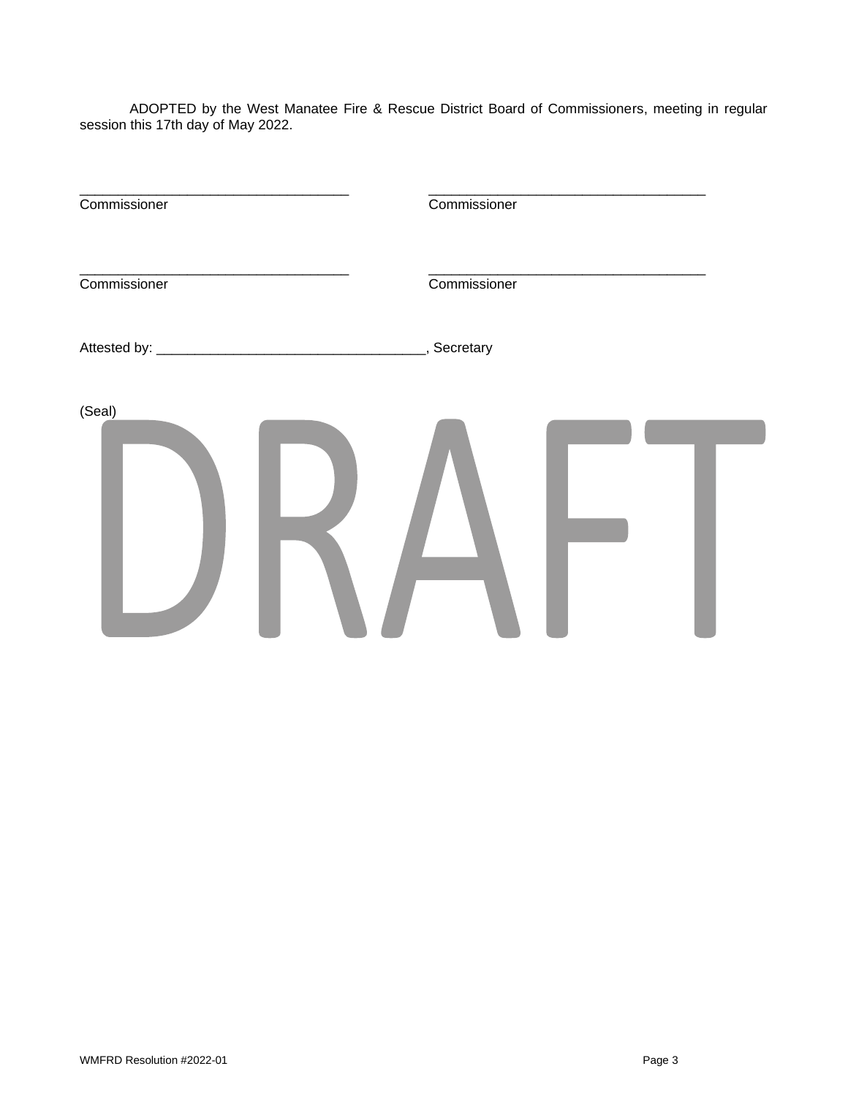ADOPTED by the West Manatee Fire & Rescue District Board of Commissioners, meeting in regular session this 17th day of May 2022.

| Commissioner | Commissioner |  |
|--------------|--------------|--|
| Commissioner | Commissioner |  |
|              | , Secretary  |  |
| (Seal)       |              |  |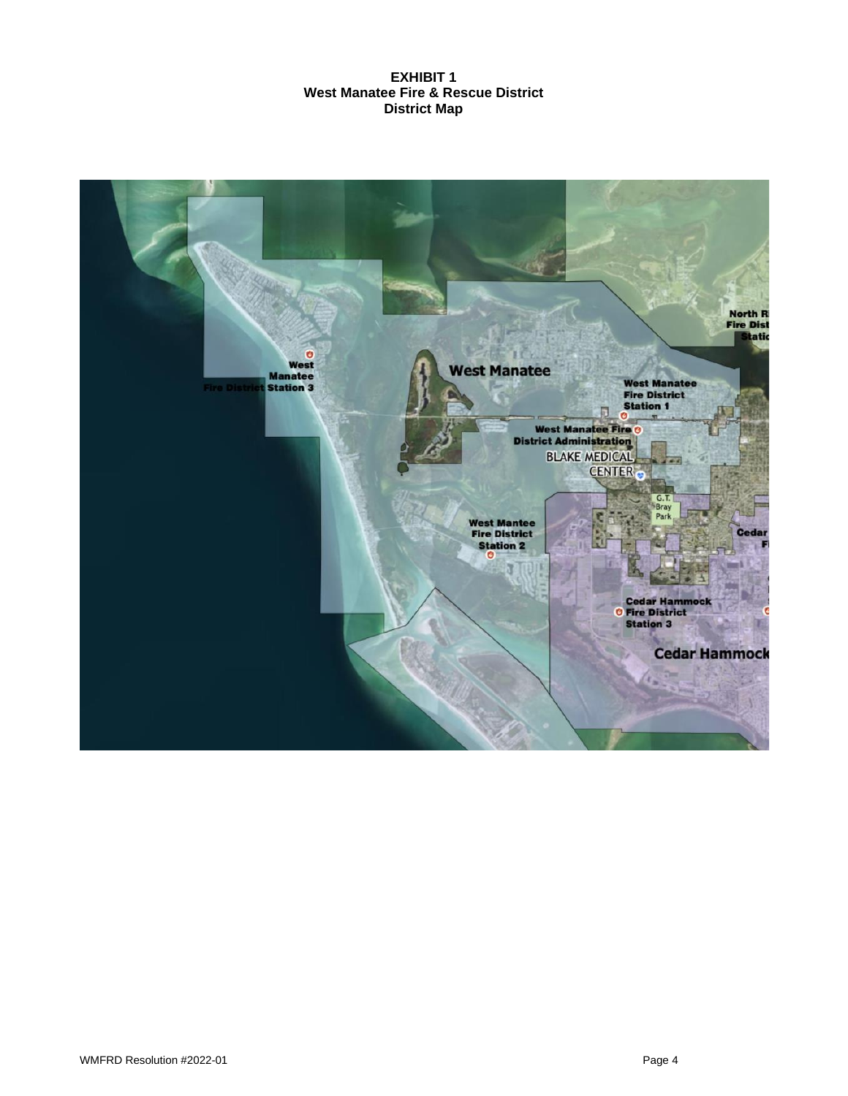# **EXHIBIT 1 West Manatee Fire & Rescue District District Map**

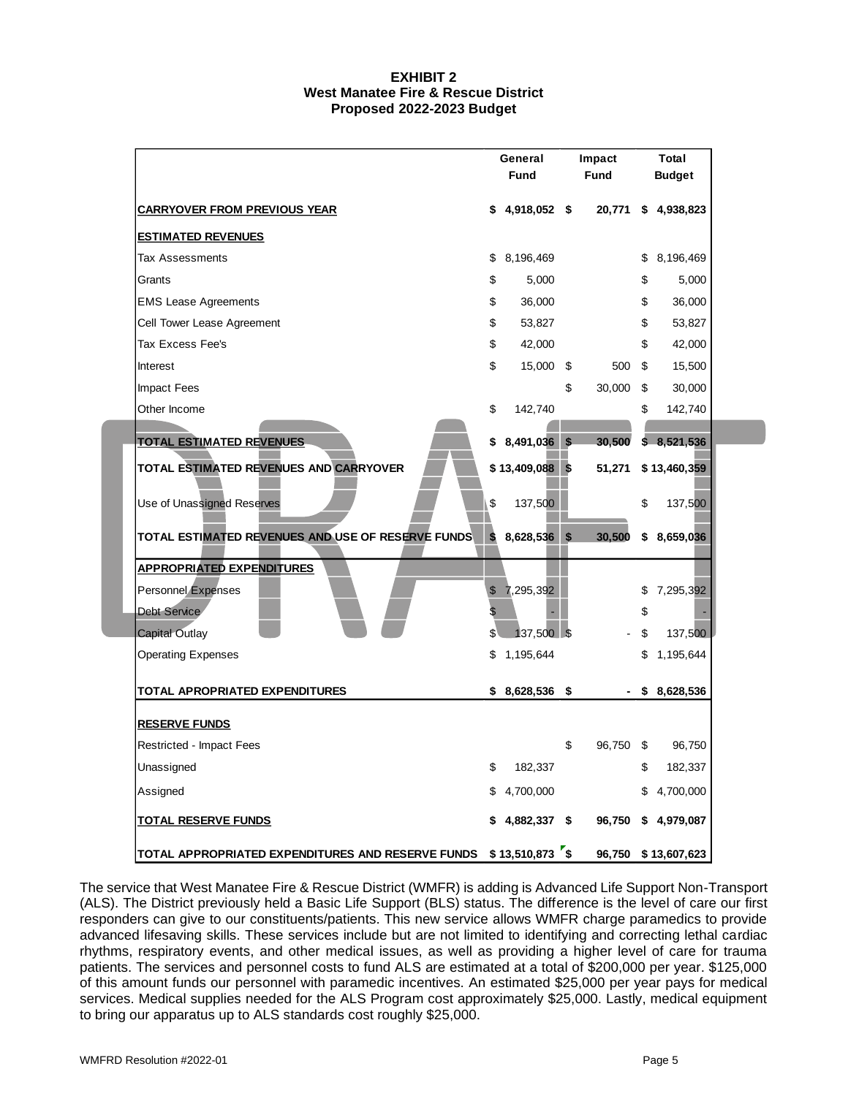### **EXHIBIT 2 West Manatee Fire & Rescue District Proposed 2022-2023 Budget**

|                                                   |          | General<br><b>Fund</b> |     | Impact<br>Fund |          | <b>Total</b><br><b>Budget</b> |
|---------------------------------------------------|----------|------------------------|-----|----------------|----------|-------------------------------|
| <b>CARRYOVER FROM PREVIOUS YEAR</b>               | \$       | 4,918,052 \$           |     | 20,771         | \$       | 4,938,823                     |
| <b>ESTIMATED REVENUES</b>                         |          |                        |     |                |          |                               |
| <b>Tax Assessments</b>                            | \$       | 8,196,469              |     |                | \$       | 8,196,469                     |
| Grants                                            | \$       | 5,000                  |     |                | \$       | 5,000                         |
| <b>EMS Lease Agreements</b>                       | \$       | 36,000                 |     |                | \$       | 36,000                        |
| Cell Tower Lease Agreement                        | \$       | 53,827                 |     |                | \$       | 53,827                        |
| Tax Excess Fee's                                  | \$       | 42,000                 |     |                | \$       | 42,000                        |
| Interest                                          | \$       | 15,000                 | \$  | 500            | \$       | 15,500                        |
| <b>Impact Fees</b>                                |          |                        | \$  | 30,000         | \$       | 30,000                        |
| Other Income                                      | \$       | 142,740                |     |                | \$       | 142,740                       |
| <b>TOTAL ESTIMATED REVENUES</b>                   | \$       | 8,491,036              | \$  | 30,500         |          | \$8,521,536                   |
| TOTAL ESTIMATED REVENUES AND CARRYOVER            |          | $$13,409,088$ \$       |     | 51,271         |          | \$13,460,359                  |
| Use of Unassigned Reserves                        | \$       | 137,500                |     |                | \$       | 137,500                       |
| TOTAL ESTIMATED REVENUES AND USE OF RESERVE FUNDS | \$       | 8,628,536 \$           |     | 30,500         | \$       | 8,659,036                     |
| <b>APPROPRIATED EXPENDITURES</b>                  |          |                        |     |                |          |                               |
| <b>Personnel Expenses</b><br><b>Debt Service</b>  | \$<br>\$ | 7,295,392              |     |                | \$<br>\$ | 7,295,392                     |
| <b>Capital Outlay</b>                             | \$       | 137,500 \$             |     |                | \$       | 137,500                       |
| <b>Operating Expenses</b>                         | \$       | 1,195,644              |     |                | \$       | 1,195,644                     |
| TOTAL APROPRIATED EXPENDITURES                    |          | $$8,628,536$ \$        |     |                | \$       | 8,628,536                     |
| <b>RESERVE FUNDS</b>                              |          |                        |     |                |          |                               |
| Restricted - Impact Fees                          |          |                        | \$  | 96,750         | \$       | 96,750                        |
| Unassigned                                        | \$       | 182,337                |     |                | \$       | 182,337                       |
| Assigned                                          | \$       | 4,700,000              |     |                | \$       | 4,700,000                     |
| <u>TOTAL RESERVE FUNDS</u>                        |          | 4,882,337 \$           |     | 96,750         | \$       | 4,979,087                     |
| TOTAL APPROPRIATED EXPENDITURES AND RESERVE FUNDS |          | \$13,510,873           | ້\$ | 96,750         |          | \$13,607,623                  |

The service that West Manatee Fire & Rescue District (WMFR) is adding is Advanced Life Support Non-Transport (ALS). The District previously held a Basic Life Support (BLS) status. The difference is the level of care our first responders can give to our constituents/patients. This new service allows WMFR charge paramedics to provide advanced lifesaving skills. These services include but are not limited to identifying and correcting lethal cardiac rhythms, respiratory events, and other medical issues, as well as providing a higher level of care for trauma patients. The services and personnel costs to fund ALS are estimated at a total of \$200,000 per year. \$125,000 of this amount funds our personnel with paramedic incentives. An estimated \$25,000 per year pays for medical services. Medical supplies needed for the ALS Program cost approximately \$25,000. Lastly, medical equipment to bring our apparatus up to ALS standards cost roughly \$25,000.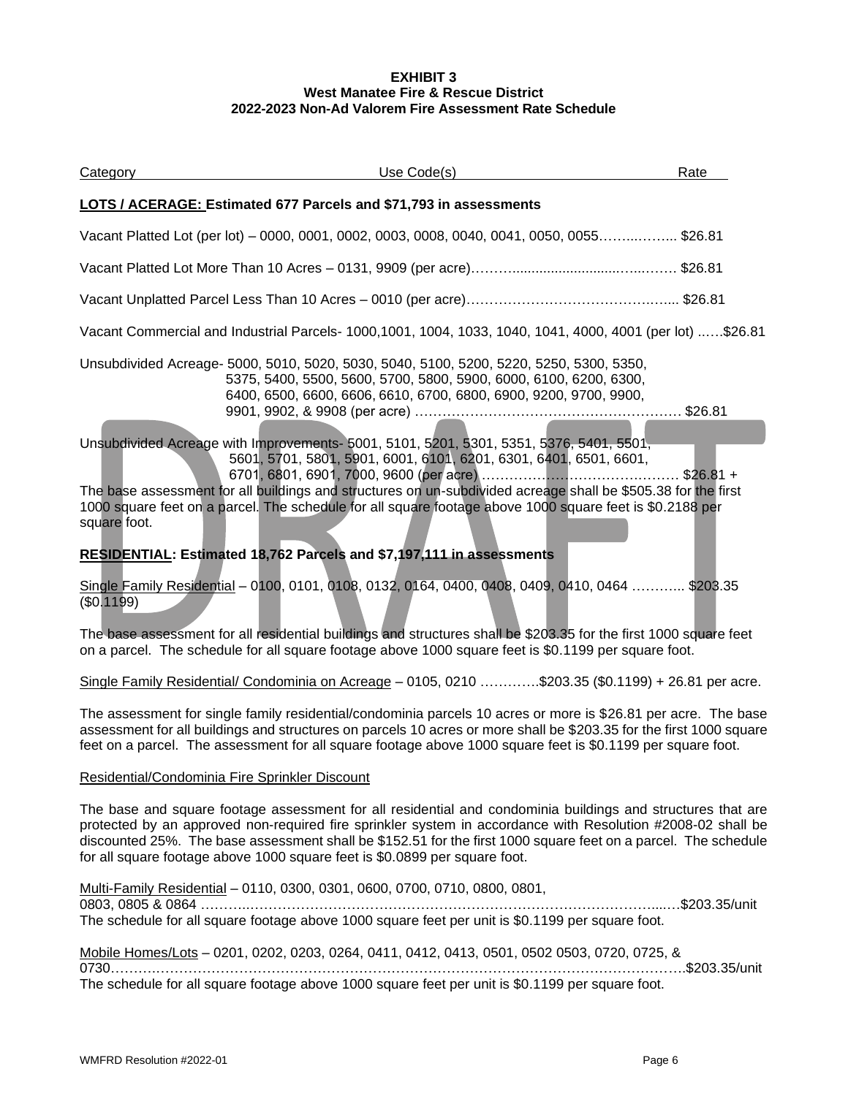### **EXHIBIT 3 West Manatee Fire & Rescue District 2022-2023 Non-Ad Valorem Fire Assessment Rate Schedule**

| <b>Category</b> | Use Code(s)                                                                                                                                                                                                                                                                                                                                                                               | Rate |
|-----------------|-------------------------------------------------------------------------------------------------------------------------------------------------------------------------------------------------------------------------------------------------------------------------------------------------------------------------------------------------------------------------------------------|------|
|                 | LOTS / ACERAGE: Estimated 677 Parcels and \$71,793 in assessments                                                                                                                                                                                                                                                                                                                         |      |
|                 | Vacant Platted Lot (per lot) - 0000, 0001, 0002, 0003, 0008, 0040, 0041, 0050, 0055\$26.81                                                                                                                                                                                                                                                                                                |      |
|                 |                                                                                                                                                                                                                                                                                                                                                                                           |      |
|                 |                                                                                                                                                                                                                                                                                                                                                                                           |      |
|                 | Vacant Commercial and Industrial Parcels- 1000,1001, 1004, 1033, 1040, 1041, 4000, 4001 (per lot) \$26.81                                                                                                                                                                                                                                                                                 |      |
|                 | Unsubdivided Acreage- 5000, 5010, 5020, 5030, 5040, 5100, 5200, 5220, 5250, 5300, 5350,<br>5375, 5400, 5500, 5600, 5700, 5800, 5900, 6000, 6100, 6200, 6300,<br>6400, 6500, 6600, 6606, 6610, 6700, 6800, 6900, 9200, 9700, 9900,                                                                                                                                                         |      |
| square foot.    | Unsubdivided Acreage with Improvements- 5001, 5101, 5201, 5301, 5351, 5376, 5401, 5501,<br>5601, 5701, 5801, 5901, 6001, 6101, 6201, 6301, 6401, 6501, 6601,<br>The base assessment for all buildings and structures on un-subdivided acreage shall be \$505.38 for the first<br>1000 square feet on a parcel. The schedule for all square footage above 1000 square feet is \$0.2188 per |      |
|                 | RESIDENTIAL: Estimated 18,762 Parcels and \$7,197,111 in assessments                                                                                                                                                                                                                                                                                                                      |      |
| (\$0.1199)      | Single Family Residential - 0100, 0101, 0108, 0132, 0164, 0400, 0408, 0409, 0410, 0464  \$203.35                                                                                                                                                                                                                                                                                          |      |
|                 | The base assessment for all residential buildings and structures shall be \$203.35 for the first 1000 square feet<br>on a parcel. The schedule for all square footage above 1000 square feet is \$0.1199 per square foot.                                                                                                                                                                 |      |
|                 | Single Family Residential/ Condominia on Acreage - 0105, 0210 \$203.35 (\$0.1199) + 26.81 per acre.                                                                                                                                                                                                                                                                                       |      |
|                 | The assessment for single family residential/condominia parcels 10 acres or more is \$26.81 per acre. The base<br>assessment for all buildings and structures on parcels 10 acres or more shall be \$203.35 for the first 1000 square<br>feet on a parcel. The assessment for all square footage above 1000 square feet is \$0.1199 per square foot.                                      |      |

# Residential/Condominia Fire Sprinkler Discount

The base and square footage assessment for all residential and condominia buildings and structures that are protected by an approved non-required fire sprinkler system in accordance with Resolution #2008-02 shall be discounted 25%. The base assessment shall be \$152.51 for the first 1000 square feet on a parcel. The schedule for all square footage above 1000 square feet is \$0.0899 per square foot.

Multi-Family Residential – 0110, 0300, 0301, 0600, 0700, 0710, 0800, 0801, 0803, 0805 & 0864 ………..……………………………………………………………………………....…\$203.35/unit The schedule for all square footage above 1000 square feet per unit is \$0.1199 per square foot.

| Mobile Homes/Lots - 0201, 0202, 0203, 0264, 0411, 0412, 0413, 0501, 0502 0503, 0720, 0725, &     |  |
|--------------------------------------------------------------------------------------------------|--|
|                                                                                                  |  |
| The schedule for all square footage above 1000 square feet per unit is \$0.1199 per square foot. |  |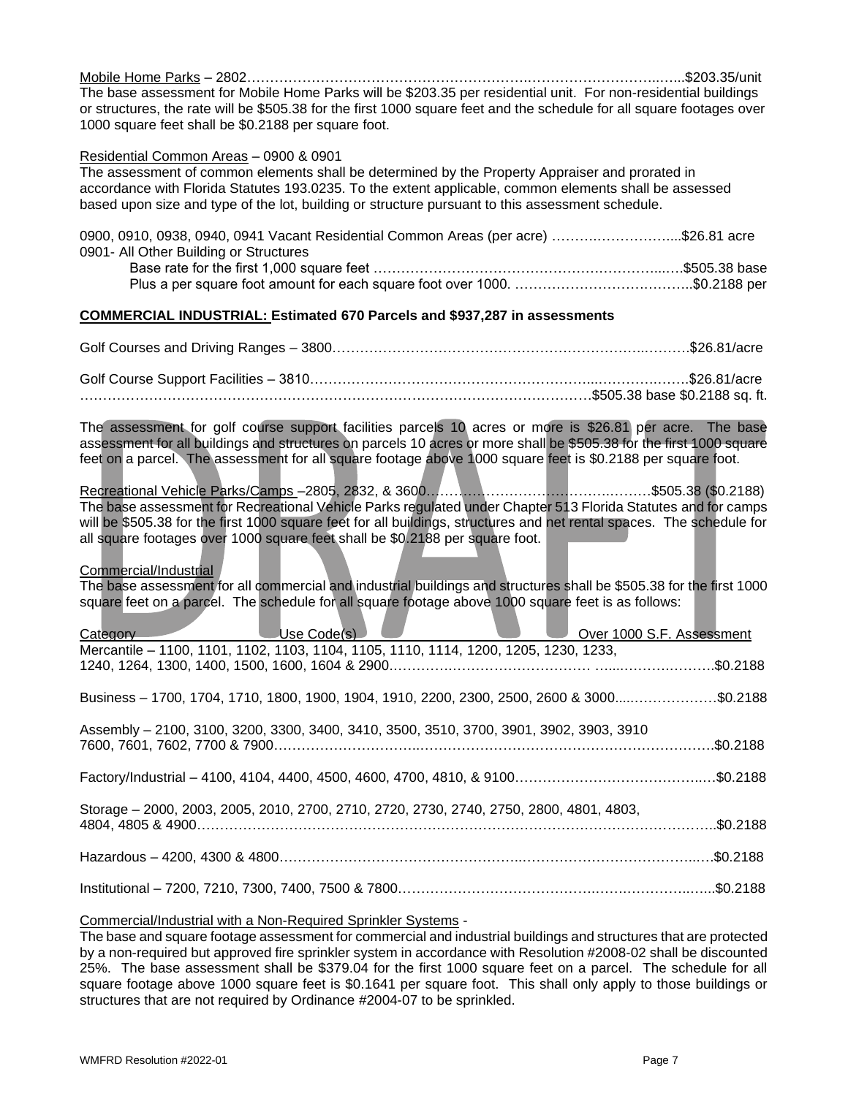Mobile Home Parks – 2802…………………………………………………….………………………..…...\$203.35/unit The base assessment for Mobile Home Parks will be \$203.35 per residential unit. For non-residential buildings or structures, the rate will be \$505.38 for the first 1000 square feet and the schedule for all square footages over 1000 square feet shall be \$0.2188 per square foot.

#### Residential Common Areas – 0900 & 0901

The assessment of common elements shall be determined by the Property Appraiser and prorated in accordance with Florida Statutes 193.0235. To the extent applicable, common elements shall be assessed based upon size and type of the lot, building or structure pursuant to this assessment schedule.

| 0900, 0910, 0938, 0940, 0941 Vacant Residential Common Areas (per acre) \$26.81 acre |  |
|--------------------------------------------------------------------------------------|--|
| 0901- All Other Building or Structures                                               |  |
|                                                                                      |  |
|                                                                                      |  |

# **COMMERCIAL INDUSTRIAL: Estimated 670 Parcels and \$937,287 in assessments**

The assessment for golf course support facilities parcels 10 acres or more is \$26.81 per acre. The base assessment for all buildings and structures on parcels 10 acres or more shall be \$505.38 for the first 1000 square feet on a parcel. The assessment for all square footage above 1000 square feet is \$0.2188 per square foot.

Recreational Vehicle Parks/Camps –2805, 2832, & 3600………………………………….………\$505.38 (\$0.2188) The base assessment for Recreational Vehicle Parks regulated under Chapter 513 Florida Statutes and for camps will be \$505.38 for the first 1000 square feet for all buildings, structures and net rental spaces. The schedule for all square footages over 1000 square feet shall be \$0.2188 per square foot.

### Commercial/Industrial

The base assessment for all commercial and industrial buildings and structures shall be \$505.38 for the first 1000 square feet on a parcel. The schedule for all square footage above 1000 square feet is as follows:

| Category Use Code(s)                                                                       |  | Over 1000 S.F. Assessment |           |
|--------------------------------------------------------------------------------------------|--|---------------------------|-----------|
| Mercantile - 1100, 1101, 1102, 1103, 1104, 1105, 1110, 1114, 1200, 1205, 1230, 1233,       |  |                           |           |
| Business - 1700, 1704, 1710, 1800, 1900, 1904, 1910, 2200, 2300, 2500, 2600 & 3000\$0.2188 |  |                           |           |
| Assembly - 2100, 3100, 3200, 3300, 3400, 3410, 3500, 3510, 3700, 3901, 3902, 3903, 3910    |  |                           | .\$0.2188 |
|                                                                                            |  |                           |           |
| Storage - 2000, 2003, 2005, 2010, 2700, 2710, 2720, 2730, 2740, 2750, 2800, 4801, 4803,    |  |                           |           |
|                                                                                            |  |                           |           |
|                                                                                            |  |                           |           |

#### Commercial/Industrial with a Non-Required Sprinkler Systems -

The base and square footage assessment for commercial and industrial buildings and structures that are protected by a non-required but approved fire sprinkler system in accordance with Resolution #2008-02 shall be discounted 25%. The base assessment shall be \$379.04 for the first 1000 square feet on a parcel. The schedule for all square footage above 1000 square feet is \$0.1641 per square foot. This shall only apply to those buildings or structures that are not required by Ordinance #2004-07 to be sprinkled.